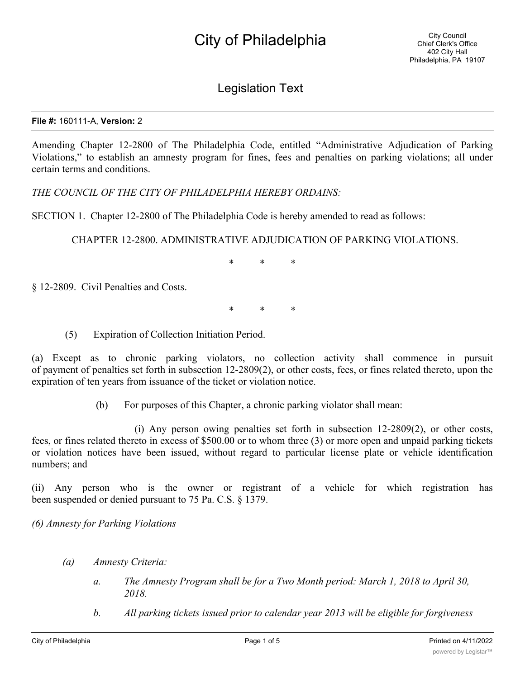## Legislation Text

## **File #:** 160111-A, **Version:** 2

Amending Chapter 12-2800 of The Philadelphia Code, entitled "Administrative Adjudication of Parking Violations," to establish an amnesty program for fines, fees and penalties on parking violations; all under certain terms and conditions.

*THE COUNCIL OF THE CITY OF PHILADELPHIA HEREBY ORDAINS:*

SECTION 1. Chapter 12-2800 of The Philadelphia Code is hereby amended to read as follows:

CHAPTER 12-2800. ADMINISTRATIVE ADJUDICATION OF PARKING VIOLATIONS.

\* \* \*

§ 12-2809. Civil Penalties and Costs.

\* \* \*

(5) Expiration of Collection Initiation Period.

(a) Except as to chronic parking violators, no collection activity shall commence in pursuit of payment of penalties set forth in subsection 12-2809(2), or other costs, fees, or fines related thereto, upon the expiration of ten years from issuance of the ticket or violation notice.

(b) For purposes of this Chapter, a chronic parking violator shall mean:

(i) Any person owing penalties set forth in subsection 12-2809(2), or other costs, fees, or fines related thereto in excess of \$500.00 or to whom three (3) or more open and unpaid parking tickets or violation notices have been issued, without regard to particular license plate or vehicle identification numbers; and

(ii) Any person who is the owner or registrant of a vehicle for which registration has been suspended or denied pursuant to 75 Pa. C.S. § 1379.

*(6) Amnesty for Parking Violations*

- *(a) Amnesty Criteria:*
	- *a. The Amnesty Program shall be for a Two Month period: March 1, 2018 to April 30, 2018.*
	- *b. All parking tickets issued prior to calendar year 2013 will be eligible for forgiveness*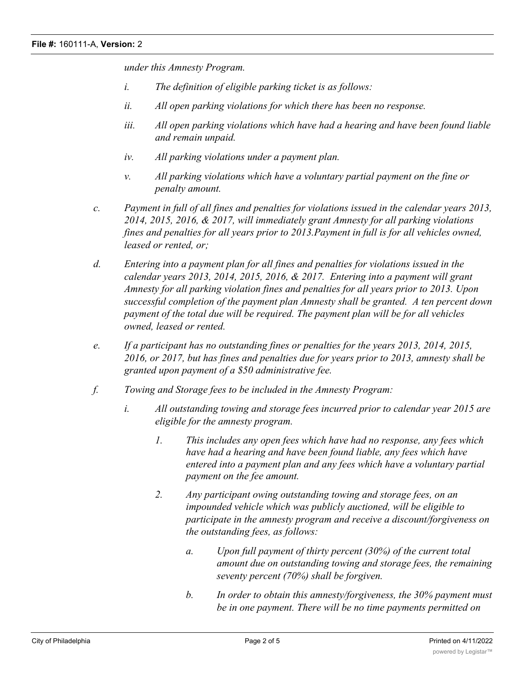*under this Amnesty Program.*

- *i. The definition of eligible parking ticket is as follows:*
- *ii. All open parking violations for which there has been no response.*
- *iii. All open parking violations which have had a hearing and have been found liable and remain unpaid.*
- *iv. All parking violations under a payment plan.*
- *v. All parking violations which have a voluntary partial payment on the fine or penalty amount.*
- *c. Payment in full of all fines and penalties for violations issued in the calendar years 2013, 2014, 2015, 2016, & 2017, will immediately grant Amnesty for all parking violations fines and penalties for all years prior to 2013.Payment in full is for all vehicles owned, leased or rented, or;*
- *d. Entering into a payment plan for all fines and penalties for violations issued in the calendar years 2013, 2014, 2015, 2016, & 2017. Entering into a payment will grant Amnesty for all parking violation fines and penalties for all years prior to 2013. Upon successful completion of the payment plan Amnesty shall be granted. A ten percent down payment of the total due will be required. The payment plan will be for all vehicles owned, leased or rented.*
- *e. If a participant has no outstanding fines or penalties for the years 2013, 2014, 2015, 2016, or 2017, but has fines and penalties due for years prior to 2013, amnesty shall be granted upon payment of a \$50 administrative fee.*
- *f. Towing and Storage fees to be included in the Amnesty Program:*
	- *i. All outstanding towing and storage fees incurred prior to calendar year 2015 are eligible for the amnesty program.*
		- *1. This includes any open fees which have had no response, any fees which have had a hearing and have been found liable, any fees which have entered into a payment plan and any fees which have a voluntary partial payment on the fee amount.*
		- *2. Any participant owing outstanding towing and storage fees, on an impounded vehicle which was publicly auctioned, will be eligible to participate in the amnesty program and receive a discount/forgiveness on the outstanding fees, as follows:*
			- *a. Upon full payment of thirty percent (30%) of the current total amount due on outstanding towing and storage fees, the remaining seventy percent (70%) shall be forgiven.*
			- *b. In order to obtain this amnesty/forgiveness, the 30% payment must be in one payment. There will be no time payments permitted on*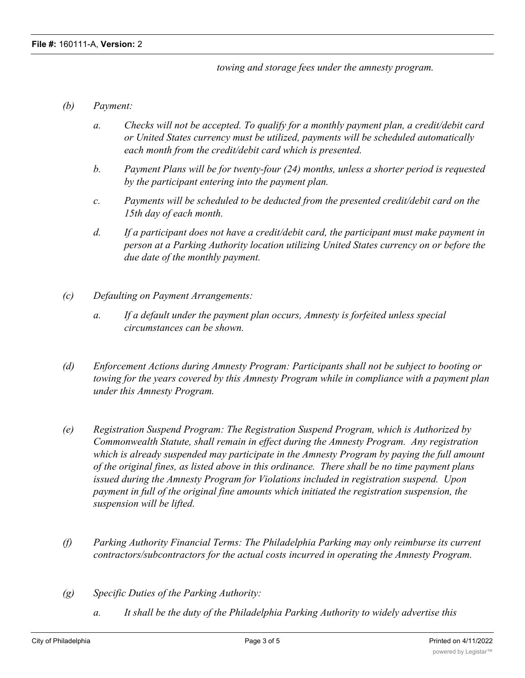*towing and storage fees under the amnesty program.*

- *(b) Payment:*
	- *a. Checks will not be accepted. To qualify for a monthly payment plan, a credit/debit card or United States currency must be utilized, payments will be scheduled automatically each month from the credit/debit card which is presented.*
	- *b. Payment Plans will be for twenty-four (24) months, unless a shorter period is requested by the participant entering into the payment plan.*
	- *c. Payments will be scheduled to be deducted from the presented credit/debit card on the 15th day of each month.*
	- *d. If a participant does not have a credit/debit card, the participant must make payment in person at a Parking Authority location utilizing United States currency on or before the due date of the monthly payment.*
- *(c) Defaulting on Payment Arrangements:*
	- *a. If a default under the payment plan occurs, Amnesty is forfeited unless special circumstances can be shown.*
- *(d) Enforcement Actions during Amnesty Program: Participants shall not be subject to booting or towing for the years covered by this Amnesty Program while in compliance with a payment plan under this Amnesty Program.*
- *(e) Registration Suspend Program: The Registration Suspend Program, which is Authorized by Commonwealth Statute, shall remain in effect during the Amnesty Program. Any registration which is already suspended may participate in the Amnesty Program by paying the full amount of the original fines, as listed above in this ordinance. There shall be no time payment plans issued during the Amnesty Program for Violations included in registration suspend. Upon payment in full of the original fine amounts which initiated the registration suspension, the suspension will be lifted.*
- *(f) Parking Authority Financial Terms: The Philadelphia Parking may only reimburse its current contractors/subcontractors for the actual costs incurred in operating the Amnesty Program.*
- *(g) Specific Duties of the Parking Authority:*
	- *a. It shall be the duty of the Philadelphia Parking Authority to widely advertise this*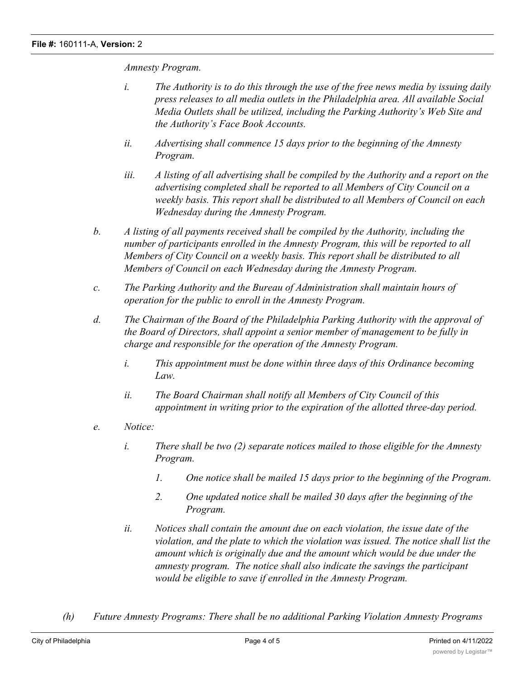*Amnesty Program.*

- *i. The Authority is to do this through the use of the free news media by issuing daily press releases to all media outlets in the Philadelphia area. All available Social Media Outlets shall be utilized, including the Parking Authority's Web Site and the Authority's Face Book Accounts.*
- *ii. Advertising shall commence 15 days prior to the beginning of the Amnesty Program.*
- *iii. A listing of all advertising shall be compiled by the Authority and a report on the advertising completed shall be reported to all Members of City Council on a weekly basis. This report shall be distributed to all Members of Council on each Wednesday during the Amnesty Program.*
- *b. A listing of all payments received shall be compiled by the Authority, including the number of participants enrolled in the Amnesty Program, this will be reported to all Members of City Council on a weekly basis. This report shall be distributed to all Members of Council on each Wednesday during the Amnesty Program.*
- *c. The Parking Authority and the Bureau of Administration shall maintain hours of operation for the public to enroll in the Amnesty Program.*
- *d. The Chairman of the Board of the Philadelphia Parking Authority with the approval of the Board of Directors, shall appoint a senior member of management to be fully in charge and responsible for the operation of the Amnesty Program.*
	- *i. This appointment must be done within three days of this Ordinance becoming Law.*
	- *ii. The Board Chairman shall notify all Members of City Council of this appointment in writing prior to the expiration of the allotted three-day period.*
- *e. Notice:*
	- *i. There shall be two (2) separate notices mailed to those eligible for the Amnesty Program.*
		- *1. One notice shall be mailed 15 days prior to the beginning of the Program.*
		- *2. One updated notice shall be mailed 30 days after the beginning of the Program.*
	- *ii. Notices shall contain the amount due on each violation, the issue date of the violation, and the plate to which the violation was issued. The notice shall list the amount which is originally due and the amount which would be due under the amnesty program. The notice shall also indicate the savings the participant would be eligible to save if enrolled in the Amnesty Program.*
- *(h) Future Amnesty Programs: There shall be no additional Parking Violation Amnesty Programs*